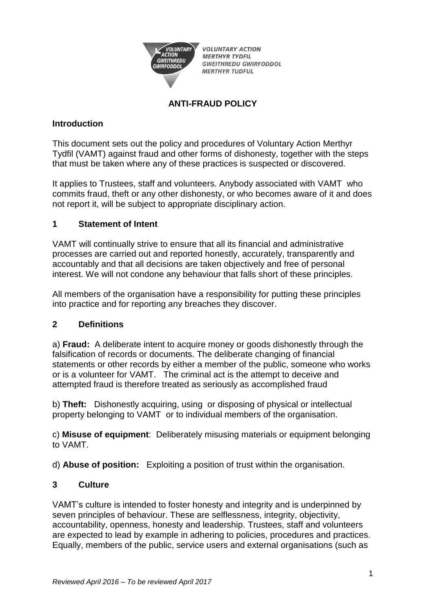

**VOLUNTARY ACTION MERTHYR TYDFIL GWEITHREDU GWIRFODDOL MERTHYR TUDFUL** 

## **ANTI-FRAUD POLICY**

## **Introduction**

This document sets out the policy and procedures of Voluntary Action Merthyr Tydfil (VAMT) against fraud and other forms of dishonesty, together with the steps that must be taken where any of these practices is suspected or discovered.

It applies to Trustees, staff and volunteers. Anybody associated with VAMT who commits fraud, theft or any other dishonesty, or who becomes aware of it and does not report it, will be subject to appropriate disciplinary action.

## **1 Statement of Intent**

VAMT will continually strive to ensure that all its financial and administrative processes are carried out and reported honestly, accurately, transparently and accountably and that all decisions are taken objectively and free of personal interest. We will not condone any behaviour that falls short of these principles.

All members of the organisation have a responsibility for putting these principles into practice and for reporting any breaches they discover.

## **2 Definitions**

a) **Fraud:** A deliberate intent to acquire money or goods dishonestly through the falsification of records or documents. The deliberate changing of financial statements or other records by either a member of the public, someone who works or is a volunteer for VAMT. The criminal act is the attempt to deceive and attempted fraud is therefore treated as seriously as accomplished fraud

b) **Theft:** Dishonestly acquiring, using or disposing of physical or intellectual property belonging to VAMT or to individual members of the organisation.

c) **Misuse of equipment**: Deliberately misusing materials or equipment belonging to VAMT.

d) **Abuse of position:** Exploiting a position of trust within the organisation.

## **3 Culture**

VAMT's culture is intended to foster honesty and integrity and is underpinned by seven principles of behaviour. These are selflessness, integrity, objectivity, accountability, openness, honesty and leadership. Trustees, staff and volunteers are expected to lead by example in adhering to policies, procedures and practices. Equally, members of the public, service users and external organisations (such as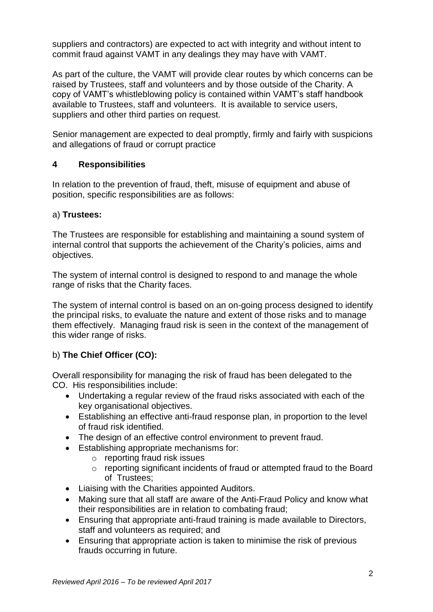suppliers and contractors) are expected to act with integrity and without intent to commit fraud against VAMT in any dealings they may have with VAMT.

As part of the culture, the VAMT will provide clear routes by which concerns can be raised by Trustees, staff and volunteers and by those outside of the Charity. A copy of VAMT's whistleblowing policy is contained within VAMT's staff handbook available to Trustees, staff and volunteers. It is available to service users, suppliers and other third parties on request.

Senior management are expected to deal promptly, firmly and fairly with suspicions and allegations of fraud or corrupt practice

## **4 Responsibilities**

In relation to the prevention of fraud, theft, misuse of equipment and abuse of position, specific responsibilities are as follows:

## a) **Trustees:**

The Trustees are responsible for establishing and maintaining a sound system of internal control that supports the achievement of the Charity's policies, aims and objectives.

The system of internal control is designed to respond to and manage the whole range of risks that the Charity faces.

The system of internal control is based on an on-going process designed to identify the principal risks, to evaluate the nature and extent of those risks and to manage them effectively. Managing fraud risk is seen in the context of the management of this wider range of risks.

## b) **The Chief Officer (CO):**

Overall responsibility for managing the risk of fraud has been delegated to the CO. His responsibilities include:

- Undertaking a regular review of the fraud risks associated with each of the key organisational objectives.
- Establishing an effective anti-fraud response plan, in proportion to the level of fraud risk identified.
- The design of an effective control environment to prevent fraud.
- Establishing appropriate mechanisms for:
	- o reporting fraud risk issues
	- o reporting significant incidents of fraud or attempted fraud to the Board of Trustees;
- Liaising with the Charities appointed Auditors.
- Making sure that all staff are aware of the Anti-Fraud Policy and know what their responsibilities are in relation to combating fraud;
- Ensuring that appropriate anti-fraud training is made available to Directors, staff and volunteers as required; and
- Ensuring that appropriate action is taken to minimise the risk of previous frauds occurring in future.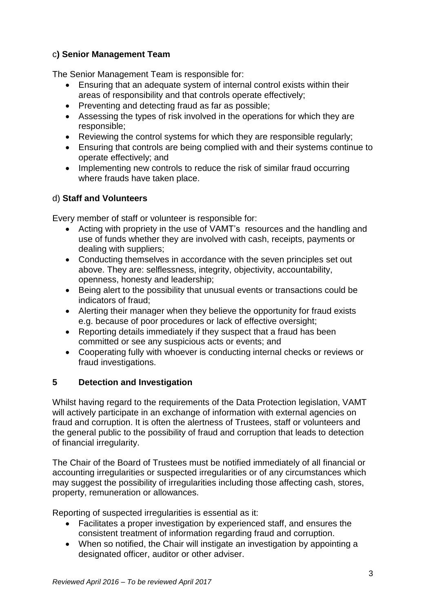## c**) Senior Management Team**

The Senior Management Team is responsible for:

- Ensuring that an adequate system of internal control exists within their areas of responsibility and that controls operate effectively;
- Preventing and detecting fraud as far as possible;
- Assessing the types of risk involved in the operations for which they are responsible;
- Reviewing the control systems for which they are responsible regularly;
- Ensuring that controls are being complied with and their systems continue to operate effectively; and
- Implementing new controls to reduce the risk of similar fraud occurring where frauds have taken place.

## d) **Staff and Volunteers**

Every member of staff or volunteer is responsible for:

- Acting with propriety in the use of VAMT's resources and the handling and use of funds whether they are involved with cash, receipts, payments or dealing with suppliers;
- Conducting themselves in accordance with the seven principles set out above. They are: selflessness, integrity, objectivity, accountability, openness, honesty and leadership;
- Being alert to the possibility that unusual events or transactions could be indicators of fraud;
- Alerting their manager when they believe the opportunity for fraud exists e.g. because of poor procedures or lack of effective oversight;
- Reporting details immediately if they suspect that a fraud has been committed or see any suspicious acts or events; and
- Cooperating fully with whoever is conducting internal checks or reviews or fraud investigations.

# **5 Detection and Investigation**

Whilst having regard to the requirements of the Data Protection legislation, VAMT will actively participate in an exchange of information with external agencies on fraud and corruption. It is often the alertness of Trustees, staff or volunteers and the general public to the possibility of fraud and corruption that leads to detection of financial irregularity.

The Chair of the Board of Trustees must be notified immediately of all financial or accounting irregularities or suspected irregularities or of any circumstances which may suggest the possibility of irregularities including those affecting cash, stores, property, remuneration or allowances.

Reporting of suspected irregularities is essential as it:

- Facilitates a proper investigation by experienced staff, and ensures the consistent treatment of information regarding fraud and corruption.
- When so notified, the Chair will instigate an investigation by appointing a designated officer, auditor or other adviser.